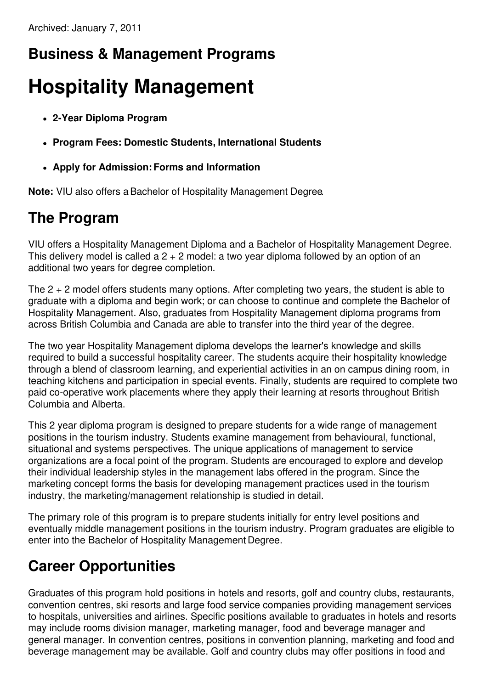### **Business & Management Programs**

# **Hospitality Management**

- **2-Year Diploma Program**
- **Program Fees: Domestic Students, International Students**
- **Apply for Admission:Forms and Information**

**Note:** VIU also offers aBachelor of Hospitality Management Degree.

### **The Program**

VIU offers a Hospitality Management Diploma and a Bachelor of Hospitality Management Degree. This delivery model is called a  $2 + 2$  model: a two year diploma followed by an option of an additional two years for degree completion.

The  $2 + 2$  model offers students many options. After completing two years, the student is able to graduate with a diploma and begin work; or can choose to continue and complete the Bachelor of Hospitality Management. Also, graduates from Hospitality Management diploma programs from across British Columbia and Canada are able to transfer into the third year of the degree.

The two year Hospitality Management diploma develops the learner's knowledge and skills required to build a successful hospitality career. The students acquire their hospitality knowledge through a blend of classroom learning, and experiential activities in an on campus dining room, in teaching kitchens and participation in special events. Finally, students are required to complete two paid co-operative work placements where they apply their learning at resorts throughout British Columbia and Alberta.

This 2 year diploma program is designed to prepare students for a wide range of management positions in the tourism industry. Students examine management from behavioural, functional, situational and systems perspectives. The unique applications of management to service organizations are a focal point of the program. Students are encouraged to explore and develop their individual leadership styles in the management labs offered in the program. Since the marketing concept forms the basis for developing management practices used in the tourism industry, the marketing/management relationship is studied in detail.

The primary role of this program is to prepare students initially for entry level positions and eventually middle management positions in the tourism industry. Program graduates are eligible to enter into the Bachelor of Hospitality Management Degree.

### **Career Opportunities**

Graduates of this program hold positions in hotels and resorts, golf and country clubs, restaurants, convention centres, ski resorts and large food service companies providing management services to hospitals, universities and airlines. Specific positions available to graduates in hotels and resorts may include rooms division manager, marketing manager, food and beverage manager and general manager. In convention centres, positions in convention planning, marketing and food and beverage management may be available. Golf and country clubs may offer positions in food and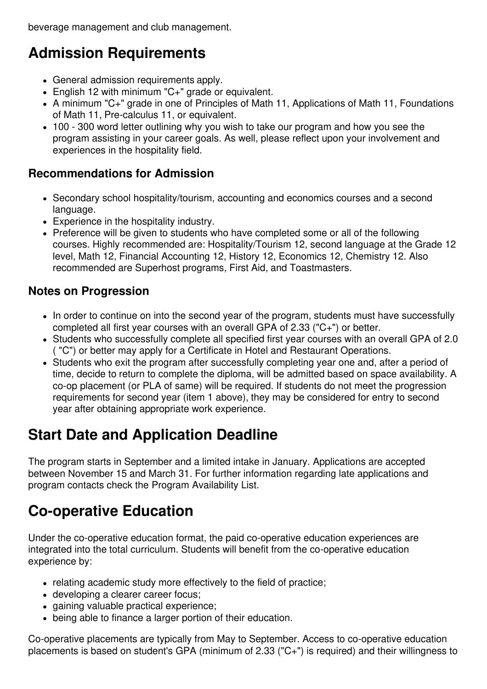beverage management and club management.

### **Admission Requirements**

- General admission requirements apply.
- English 12 with minimum "C+" grade or equivalent.
- A minimum "C+" grade in one of Principles of Math 11, Applications of Math 11, Foundations of Math 11, Pre-calculus 11, or equivalent.
- 100 300 word letter outlining why you wish to take our program and how you see the program assisting in your career goals. As well, please reflect upon your involvement and experiences in the hospitality field.

#### **Recommendations for Admission**

- Secondary school hospitality/tourism, accounting and economics courses and a second language.
- Experience in the hospitality industry.
- Preference will be given to students who have completed some or all of the following courses. Highly recommended are: Hospitality/Tourism 12, second language at the Grade 12 level, Math 12, Financial Accounting 12, History 12, Economics 12, Chemistry 12. Also recommended are Superhost programs, First Aid, and Toastmasters.

#### **Notes on Progression**

- In order to continue on into the second year of the program, students must have successfully completed all first year courses with an overall GPA of 2.33 ("C+") or better.
- Students who successfully complete all specified first year courses with an overall GPA of 2.0 ( "C") or better may apply for a Certificate in Hotel and Restaurant Operations.
- Students who exit the program after successfully completing year one and, after a period of time, decide to return to complete the diploma, will be admitted based on space availability. A co-op placement (or PLA of same) will be required. If students do not meet the progression requirements for second year (item 1 above), they may be considered for entry to second year after obtaining appropriate work experience.

## **Start Date and Application Deadline**

The program starts in September and a limited intake in January. Applications are accepted between November 15 and March 31. For further information regarding late applications and program contacts check the Program Availability List.

### **Co-operative Education**

Under the co-operative education format, the paid co-operative education experiences are integrated into the total curriculum. Students will benefit from the co-operative education experience by:

- relating academic study more effectively to the field of practice;
- developing a clearer career focus;
- gaining valuable practical experience:
- being able to finance a larger portion of their education.

Co-operative placements are typically from May to September. Access to co-operative education placements is based on student's GPA (minimum of 2.33 ("C+") is required) and their willingness to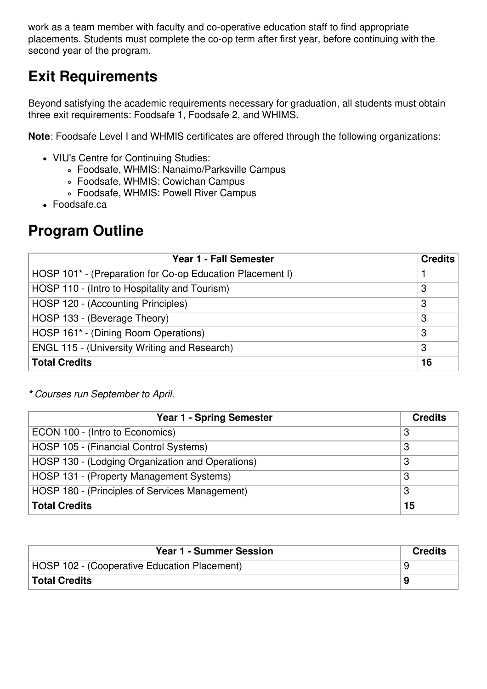work as a team member with faculty and co-operative education staff to find appropriate placements. Students must complete the co-op term after first year, before continuing with the second year of the program.

### **Exit Requirements**

Beyond satisfying the academic requirements necessary for graduation, all students must obtain three exit requirements: Foodsafe 1, Foodsafe 2, and WHIMS.

**Note**: Foodsafe Level I and WHMIS certificates are offered through the following organizations:

- VIU's Centre for Continuing Studies:
	- Foodsafe, WHMIS: Nanaimo/Parksville Campus
	- Foodsafe, WHMIS: Cowichan Campus
	- Foodsafe, WHMIS: Powell River Campus
- Foodsafe.ca

### **Program Outline**

| Year 1 - Fall Semester                                    | <b>Credits</b> |
|-----------------------------------------------------------|----------------|
| HOSP 101* - (Preparation for Co-op Education Placement I) |                |
| HOSP 110 - (Intro to Hospitality and Tourism)             | 3              |
| HOSP 120 - (Accounting Principles)                        | 3              |
| HOSP 133 - (Beverage Theory)                              | 3              |
| HOSP 161* - (Dining Room Operations)                      | 3              |
| <b>ENGL 115 - (University Writing and Research)</b>       | 3              |
| <b>Total Credits</b>                                      | 16             |

*\* Courses run September to April.*

| <b>Year 1 - Spring Semester</b>                  | <b>Credits</b> |
|--------------------------------------------------|----------------|
| ECON 100 - (Intro to Economics)                  | 3              |
| HOSP 105 - (Financial Control Systems)           | 3              |
| HOSP 130 - (Lodging Organization and Operations) | 3              |
| HOSP 131 - (Property Management Systems)         | 3              |
| HOSP 180 - (Principles of Services Management)   | 3              |
| <b>Total Credits</b>                             | 15             |

| <b>Year 1 - Summer Session</b>               | <b>Credits</b> |
|----------------------------------------------|----------------|
| HOSP 102 - (Cooperative Education Placement) |                |
| <b>Total Credits</b>                         |                |